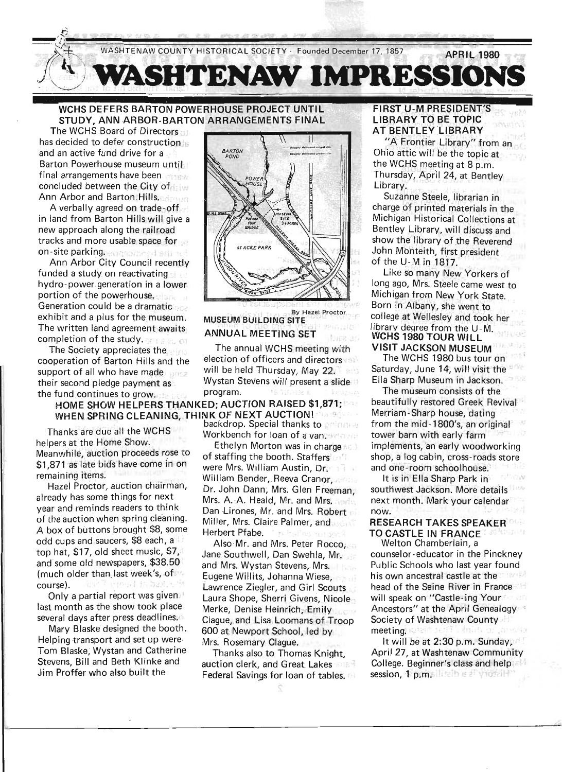

WCHS DEFERS BARTON POWERHOUSE PROJECT UNTIL STUDY, ANN ARBOR-BARTON ARRANGEMENTS FINAL

The WCHS Board of Directors has decided to defer construction and an active fund drive for a Barton Powerhouse museum until final arrangements have been concluded between the City of. Ann Arbor and Barton Hills.

A verbally agreed on trade-off in land from Barton Hills will give a new approach along the railroad tracks and more usable space for on-site parking. an around still to

Ann Arbor City Council recently funded a study on reactivating hydro-power generation in a lower portion of the powerhouse. Generation could be a dramatic .... exhibit and a plus for the museum. The written land agreement awaits. completion of the study.

cooperation of Barton Hills and the election of officers and directors support of all who have made  $\frac{1}{2}$  will be held Thursday, May 22. the fUlld .continues to grow.. .... '. program. . .. '

HOME SHOW HELPERS THANKED; AUCTION RAISED \$1,871;

Thanks are due all the WCHS . Workbench for loan of a van. helpers at the Home Show. Ethelyn Morton was in charge Meanwhile, auction proceeds rose to of staffing the booth. Staffers \$1,871 as late bids have come in on were Mrs. William Austin, Dr.

A box of buttons brought \$8, some Herbert Pfabe. odd' cups and.saucer.s, \$8 ea~h , a . , Also Mr. and Mrs. Peter Rocco, and some old newspapers, \$38.50 and Mrs. Wystan Stevens, Mrs. (much older than last week's, of Eugene Willits, Johanna Wiese,

last month as the show took place Merke, Denise Heinrich, Emily

Helping transport and set up were Mrs. Rosemary Claque. Tom Blaske, Wystan and Catherine Thanks also to Thomas Knight, Stevens, Bill and Beth Klinke and auction clerk, and Great Lakes



By Hazel Proctor **MUSEUM BUILDING SITE** 

## ANNUAL MEETING SET

The Society appreciates the street of the annual WCHS meeting with Wystan Stevens will present a slide

WHEN SPRING CLEANING, THINK OF NEXT AUCTION!

remaining items: ; . . William Bender .Reeva C;anor Hazel Proctor, auction chairman, Dr. John Dann, Mrs. Glen Freeman, already has some things for next Mrs. A. A. Heald, Mr. and Mrs. and year and reminds readers to think<br>Dan Lirones, Mr. and Mrs. Robert of the auction when spring cleaning. Miller, Mrs. Claire Palmer, and

top hat, \$17, old sheet music, \$7, Jane Southwell, Dan Swehla, Mr, course). **EXECUTE: IN Lawrence Ziegler, and Girl Scouts** Only a partial report was given | Laura Shope, Sherri Givens, Nicole several days after press deadlines. Clague, and Lisa Loomans of Troop Mary Blaske designed the booth. 600 at Newport School, led by

Jim Proffer who also built the Federal Savings for loan of tables.

### **FIRST U-M PRESIDENT'S** LIBRARY TO BE TOPIC **AT BENTLEY LIBRARY**

 $\frac{1}{2}$ 

"A Frontier Library" from an Ohio attic will be the topic at, the WCHS meeting at 8 p.m. Thursday; April 24, at Bentley Library.

Suzanne Steele, librarian in charge of printed materials in the Michigan Historical Collections at Bentley Library, will discuss and show the library of the Reverend John Monteith; first president of the U-M in 1817.

Like so many New Yorkers of long ago, Mrs. Steele came west to Michigan from New York State. Born in Albany, she went to college at Wellesley and took her library degree from the U-M. WCHS 1980 TOUR WilL VISIT JACKSON MUSEUM

The WCHS 1980 bus tour on Saturday, June 14, will visit the Ella Sharp Museum in Jackson.

The museum consists of the beautifully restored Greek Revival Merriam-Sharp house, dating from the mid-1800's, an original tower barn with early farm implements, 'an early woodworking shop, a log cabin, cross- roads store and one-room schoolhouse.

It is in Ella Sharp Park in southwest Jackson. More details next month. Mark YO'ur calendar . . . now.

# RESEARCH TAKES SPEAKER' TO CASTLE IN FRANCE<br>Welton Chamberlain, a

counselor-educator in the Pinckney Public Schools who last year found his own ancestral castle at the head of the Seine River in France will speak on "Castle-ing Your" Ancestors" at the April Genealogy Society of Washtenaw County meeting. **OFFICIAL ST** . shrirëv en

It will be at 2:30 p.m. Sunday. April 27, at Washtenaw Community College. Beginner's class and help session, 1 p.m. litelbie all your ill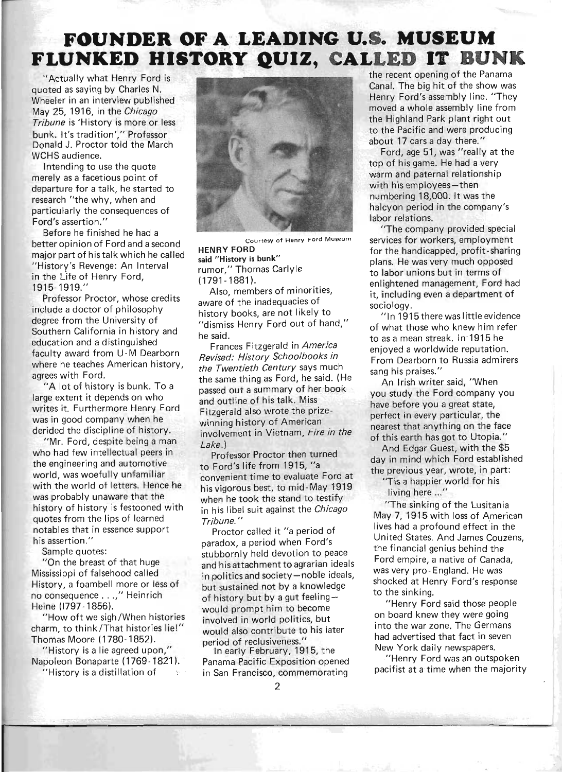# FOUNDER OF A LEADING U.S. MUSEUM FLUNKED HISTORY **QUJZ, CALLED IT BUNK**

"Actually what Henry Ford is quoted as saying by Charles N. Wheeler in an interview published May 25, 1916, in the *Chicago Tribune* is 'History is more or less bunk. It's tradition'," Professor Donald J. Proctor told the March WCHS audience.

Intending to use the quote merely as a facetious point of departure for a talk, he started to research "the why, when and particularly the consequences of Ford's assertion."

Before he finished he had a better opinion of Ford and a second major part of his talk which he called "History's Revenge: An Interval in the Life of Henry Ford, 1915-1919."

Professor Proctor, whose credits include a doctor of philosophy degree from the University of Southern California in history and education and a distinguished faculty award from U-M Dearborn where he teaches American history, agrees with Ford.

"A lot of history is bunk. To a large extent it depends on who writes it. Furthermore Henry Ford was in good company when he derided the discipline of history.

"Mr. Ford, despite being a man who had few intellectual peers in the engineering and automotive world, was woefully unfamiliar with the world of letters. Hence he was probably unaware that the history of history is festooned with quotes from the lips of learned notables that in essence support his assertion."

Sample quotes:

"On the breast of that huge Mississippi of falsehood called History, a foam bell more or less of no consequence ... ," Heinrich Heine (1797 -1856).

"How oft we sigh/When histories charm, to think/That histories lie!" Thomas Moore (1780-1852).

"History is a lie agreed upon," Napoleon Bonaparte (1769-1821). "History is a distillation of



Courtesy of Henry Ford Museum **HENRY FORD** 

said "History is bunk" rumor," Thomas Carlyle (1791 - 1881 ).

Also, members of minorities, aware of the inadequacies of history books, are not likely to "dismiss Henry Ford out of hand," he said.

Frances Fitzgerald in *America Revised: History Schoolbooks in the Twentieth Century* says much the same thing as Ford, he said. (He passed out a summary of her book and outline of his talk. Miss Fitzgerald also wrote the prizewinning history of American involvement in Vietnam, *Fire in the Lake.)* 

Professor Proctor then turned to Ford's life from 1915,"a 'convenient time to evaluate Ford at his vigorous best, to mid-May 1919 when he took the stand to testify in his libel suit against the *Chicago Tribune. "* 

Proctor called it "a period of paradox, a period when Ford's stubbornly held devotion to peace and his attachment to agrarian ideals in politics and society-noble ideals, but sustained not by a knowledge of history but by a gut feeling  $$ would prompt him to become involved in world politics, but would also contribute to his later period of reclusiveness."

In early February, 1915, the Panama Pacific Exposition opened in San Francisco, commemorating

the recent opening of the Panama Canal. The big hit of the show was Henry Ford's assembly line. "They moved a whole assembly line from the Highland Park plant right out to the Pacific and were producing about 17 cars a day there."

Ford, age 51, was "really at the top of his game. He had a very warm and paternal relationship with his employees-then numbering 18,000. It was the halcyon period in the company's labor relations.

"The company provided special services for workers, employment for the handicapped, profit-sharing plans. He was very much opposed to labor unions but in terms of enlightened management, Ford had it, including even a department of sociology.

"In 1915 there was little evidence of what those who knew him refer to as a mean streak. in-1915 he enjoyed a worldwide reputation. From Dearborn to Russia admirers sang his praises."

An Irish writer said, "When you study the Ford company you have before you a great state, perfect in every particular, the nearest that anything on the face of this earth has got to Utopia."

And Edgar Guest, with the \$5 day in mind which Ford established the previous year, wrote, in part:

"Tis a happier world for his living here ..."

"The sinking of the Lusitania May 7, 1915 with loss of American lives had a profound effect in the United States. And James Couzens the financial genius behind the Ford empire, a native of Canada, was very pro- England. He was shocked at Henry Ford's response to the sinking.

"Henry Ford said those people on board knew they were going into the war zone. The Germans had advertised that fact in seven New York daily newspapers.

"Henry Ford was an outspoken pacifist at a time when the majority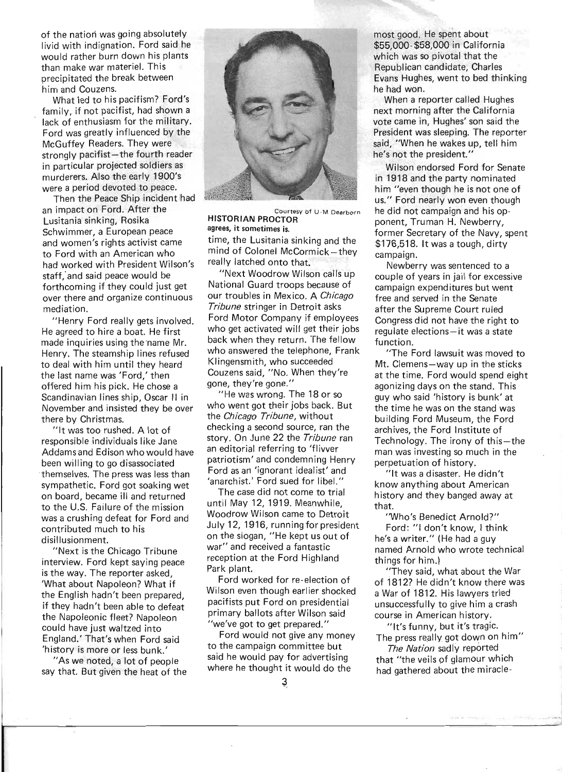of the nation was going absolutely livid with indignation. Ford said he would rather burn down his plants than make war materiel. This precipitated the break between him and Couzens.

What led to his pacifism? Ford's family, if not pacifist, had shown a lack of enthusiasm for the military. Ford was greatly influenced by the McGuffey Readers. They were strongly pacifist-the fourth reader in particular projected soldiers as murderers. Also the early 1900's were a period devoted to peace.

Then the Peace Ship incident had an impact on Ford. After the Lusitania sinking, Rosika Schwimmer, a European peace and women's rights activist came to Ford with an American who had worked with President Wilson's staff,' and said peace would be forthcoming if they could just get over there and organize continuous mediation.

"Henry Ford really gets involved. He agreed to hire a boat. He first made inquiries using the name Mr. Henry. The steamship lines refused to deal with him until they heard the last name was 'Ford,' then offered him his pick. He chose a Scandinavian lines ship, Oscar II in November and insisted they be over there by Christmas.

"It was too rushed. A lot of responsible individuals like Jane Addamsand Edison who would have been willing to go disassociated themselves. The press was less than sympathetic. Ford got soaking wet on board, became ill and returned to the U.S. Failure of the mission was a crushing defeat for Ford and contributed much to his disillusionment.

"Next is the Chicago Tribune interview. Ford kept saying peace is the way. The reporter asked, 'What about Napoleon? What if the English hadn't been prepared, if they hadn't been able to defeat the Napoleonic fleet? Napoleon could have just waltzed into England.' That's when Ford said 'history is more or less bunk.'

"As we noted, a lot of people say that. But given the heat of the



Courtesy of U - M Dearborn **HISTORIAN PROCTOR**  agrees, it sometimes is.

time, the Lusitania sinking and the mind of Colonel McCormick-they really latched onto that.

"Next Woodrow Wilson calls up National Guard troops because of our troubles in Mexico. A *Chicago Tribune* stringer in Detroit asks Ford Motor Company if employees who get activated will get their jobs back when they return. The fellow who answered the telephone, Frank Klingensmith, who succeeded Couzens said, "No. When they're gone, they're gone."

"He was wrong. The 18 or so who went got their jobs back. But the *Chicago Tribune,* without checking a second source, ran the story. On June 22 the *Tribune* ran an editorial referring to 'flivver patriotism' and condemning Henry Ford as an 'ignorant idealist' and 'anarchist.' Ford sued for libel."

The case did not come to trial until May 12, 1919. Meanwhile, Woodrow Wilson came to Detroit July 12, 1916, running for president on the slogan, "He kept us out of war" and received a fantastic reception at the Ford Highland Park plant.

Ford worked for re-election of Wilson even though earlier shocked pacifists put Ford on presidential primary ballots after Wilson said "we've got to get prepared."

Ford would not give any money to the campaign committee but said he would pay for advertising where he thought it would do the

most good. He spent about \$55,000-\$58,000 in California which was so pivotal that the Republican candidate, Charles Evans Hughes, went to bed thinking he had won.

When a reporter called Hughes next morning after the California vote came in, Hughes' son said the President was sleeping. The reporter said, "When he wakes up, tell him he's not the president."

Wilson endorsed Ford for Senate in 1918 and the party nominated him "even though he is not one of us." Ford nearly won even though he did not campaign and his opponent, Truman H. Newberry, former Secretary of the Navy, spent \$176,518. It was a tough, dirty campaign.

Newberry was sentenced to a couple of years in jail for excessive campaign expenditures but went free and served in the Senate after the Supreme Court ruled Congress did not have the right to regulate elections-it was a state function

"The Ford lawsuit was moved to Mt. Clemens-way up in the sticks at the time. Ford would spend eight agonizing days on the stand. This guy who said 'history is bunk' at the time he was on the stand was building Ford Museum, the Ford archives, the Ford Institute of Technology. The irony of this-the man was investing so much in the perpetuation of history.

"It was a disaster. He didn't know anything about American history and they banged away at that.

"Who's·Benedict Arnold?" Ford: "1 don't know, I think he's a writer." (He had a guy named Arnold who wrote technical things for him.)

"They said, what about the War of 1812? He didn't know there was a War of 1812. His lawyers tried unsuccessfully to give him a crash course in American history.

"It's funny, but it's tragic. The press really got down on him"

*The Nation* sadly reported that "the veils of glamour which had gathered about the miracle